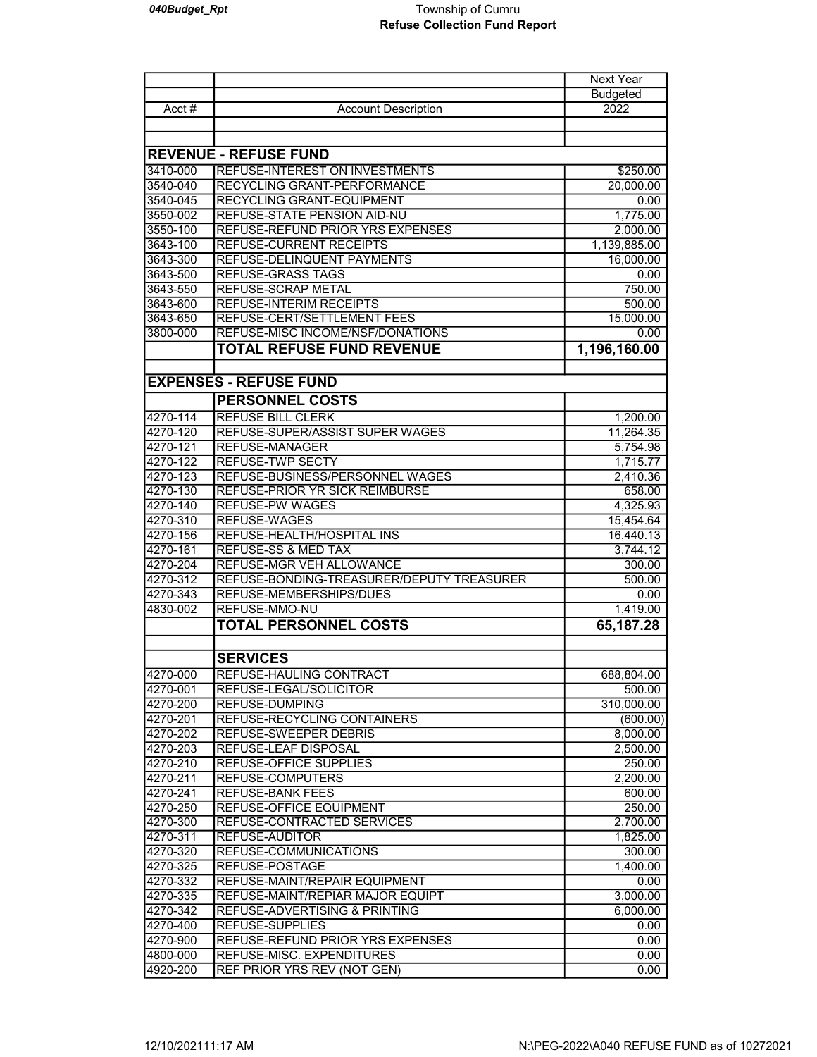|                              |                                           | Next Year       |  |
|------------------------------|-------------------------------------------|-----------------|--|
|                              |                                           | <b>Budgeted</b> |  |
| Acct $#$                     | <b>Account Description</b>                | 2022            |  |
|                              |                                           |                 |  |
|                              |                                           |                 |  |
| <b>REVENUE - REFUSE FUND</b> |                                           |                 |  |
| 3410-000                     | REFUSE-INTEREST ON INVESTMENTS            | \$250.00        |  |
| 3540-040                     | RECYCLING GRANT-PERFORMANCE               | 20,000.00       |  |
| 3540-045                     | RECYCLING GRANT-EQUIPMENT                 | 0.00            |  |
| 3550-002                     | REFUSE-STATE PENSION AID-NU               | 1,775.00        |  |
| 3550-100                     | REFUSE-REFUND PRIOR YRS EXPENSES          | 2,000.00        |  |
| 3643-100                     | <b>REFUSE-CURRENT RECEIPTS</b>            | 1,139,885.00    |  |
| 3643-300                     | REFUSE-DELINQUENT PAYMENTS                | 16,000.00       |  |
| 3643-500                     | <b>REFUSE-GRASS TAGS</b>                  | 0.00            |  |
| 3643-550                     | <b>REFUSE-SCRAP METAL</b>                 | 750.00          |  |
| 3643-600                     | <b>REFUSE-INTERIM RECEIPTS</b>            | 500.00          |  |
| 3643-650                     | REFUSE-CERT/SETTLEMENT FEES               | 15,000.00       |  |
| 3800-000                     | REFUSE-MISC INCOME/NSF/DONATIONS          | 0.00            |  |
|                              | <b>TOTAL REFUSE FUND REVENUE</b>          | 1,196,160.00    |  |
|                              |                                           |                 |  |
|                              |                                           |                 |  |
|                              | <b>EXPENSES - REFUSE FUND</b>             |                 |  |
|                              | <b>PERSONNEL COSTS</b>                    |                 |  |
| 4270-114                     | <b>REFUSE BILL CLERK</b>                  | 1,200.00        |  |
| 4270-120                     | REFUSE-SUPER/ASSIST SUPER WAGES           | 11,264.35       |  |
| 4270-121                     | <b>REFUSE-MANAGER</b>                     | 5,754.98        |  |
| 4270-122                     | <b>REFUSE-TWP SECTY</b>                   | 1,715.77        |  |
| 4270-123                     | REFUSE-BUSINESS/PERSONNEL WAGES           | 2,410.36        |  |
| 4270-130                     | <b>REFUSE-PRIOR YR SICK REIMBURSE</b>     | 658.00          |  |
| 4270-140                     | <b>REFUSE-PW WAGES</b>                    | 4,325.93        |  |
| 4270-310                     | <b>REFUSE-WAGES</b>                       | 15,454.64       |  |
| 4270-156                     | REFUSE-HEALTH/HOSPITAL INS                | 16,440.13       |  |
| 4270-161                     | <b>REFUSE-SS &amp; MED TAX</b>            | 3,744.12        |  |
| 4270-204                     | REFUSE-MGR VEH ALLOWANCE                  | 300.00          |  |
| 4270-312                     | REFUSE-BONDING-TREASURER/DEPUTY TREASURER | 500.00          |  |
| 4270-343                     | REFUSE-MEMBERSHIPS/DUES                   | 0.00            |  |
| 4830-002                     | <b>REFUSE-MMO-NU</b>                      | 1,419.00        |  |
|                              | <b>TOTAL PERSONNEL COSTS</b>              | 65,187.28       |  |
|                              |                                           |                 |  |
|                              | <b>SERVICES</b>                           |                 |  |
| 4270-000                     | REFUSE-HAULING CONTRACT                   | 688,804.00      |  |
| 4270-001                     | REFUSE-LEGAL/SOLICITOR                    | 500.00          |  |
| 4270-200                     | <b>REFUSE-DUMPING</b>                     | 310,000.00      |  |
| 4270-201                     | REFUSE-RECYCLING CONTAINERS               | (600.00)        |  |
| 4270-202                     | <b>REFUSE-SWEEPER DEBRIS</b>              | 8,000.00        |  |
| 4270-203                     | <b>REFUSE-LEAF DISPOSAL</b>               | 2,500.00        |  |
| 4270-210                     | <b>REFUSE-OFFICE SUPPLIES</b>             | 250.00          |  |
| 4270-211                     | REFUSE-COMPUTERS                          | 2,200.00        |  |
| 4270-241                     | REFUSE-BANK FEES                          | 600.00          |  |
| 4270-250                     | REFUSE-OFFICE EQUIPMENT                   | 250.00          |  |
| 4270-300                     | REFUSE-CONTRACTED SERVICES                | 2,700.00        |  |
| 4270-311                     | REFUSE-AUDITOR                            | 1,825.00        |  |
| 4270-320                     | REFUSE-COMMUNICATIONS                     | 300.00          |  |
| 4270-325                     | REFUSE-POSTAGE                            | 1,400.00        |  |
| 4270-332                     | REFUSE-MAINT/REPAIR EQUIPMENT             | 0.00            |  |
| 4270-335                     | REFUSE-MAINT/REPIAR MAJOR EQUIPT          | 3,000.00        |  |
| 4270-342                     | REFUSE-ADVERTISING & PRINTING             | 6,000.00        |  |
| 4270-400                     | REFUSE-SUPPLIES                           | 0.00            |  |
| 4270-900                     | REFUSE-REFUND PRIOR YRS EXPENSES          | 0.00            |  |
| 4800-000                     | REFUSE-MISC. EXPENDITURES                 | 0.00            |  |
| 4920-200                     | REF PRIOR YRS REV (NOT GEN)               | 0.00            |  |
|                              |                                           |                 |  |